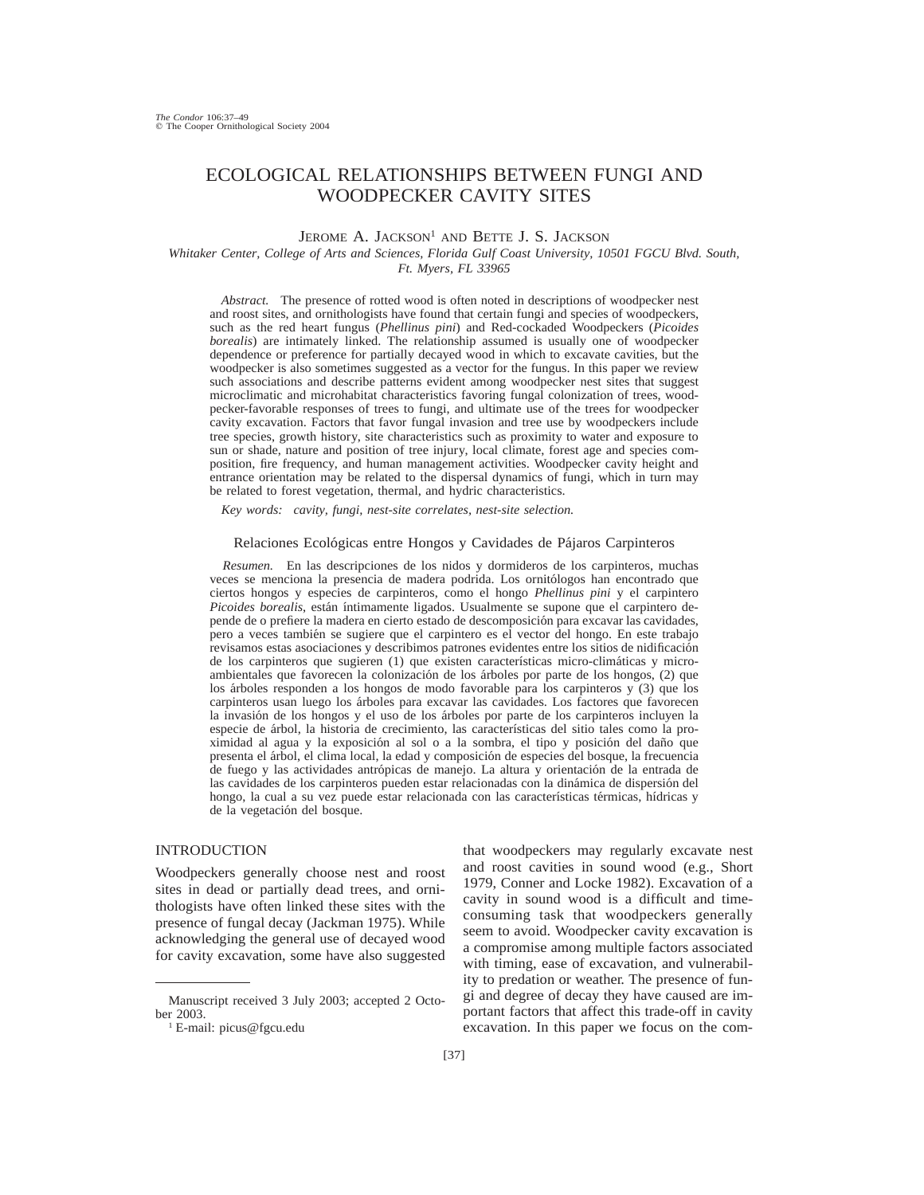# ECOLOGICAL RELATIONSHIPS BETWEEN FUNGI AND WOODPECKER CAVITY SITES

## JEROME A. JACKSON<sup>1</sup> AND BETTE J. S. JACKSON

*Whitaker Center, College of Arts and Sciences, Florida Gulf Coast University, 10501 FGCU Blvd. South, Ft. Myers, FL 33965*

*Abstract.* The presence of rotted wood is often noted in descriptions of woodpecker nest and roost sites, and ornithologists have found that certain fungi and species of woodpeckers, such as the red heart fungus (*Phellinus pini*) and Red-cockaded Woodpeckers (*Picoides borealis*) are intimately linked. The relationship assumed is usually one of woodpecker dependence or preference for partially decayed wood in which to excavate cavities, but the woodpecker is also sometimes suggested as a vector for the fungus. In this paper we review such associations and describe patterns evident among woodpecker nest sites that suggest microclimatic and microhabitat characteristics favoring fungal colonization of trees, woodpecker-favorable responses of trees to fungi, and ultimate use of the trees for woodpecker cavity excavation. Factors that favor fungal invasion and tree use by woodpeckers include tree species, growth history, site characteristics such as proximity to water and exposure to sun or shade, nature and position of tree injury, local climate, forest age and species composition, fire frequency, and human management activities. Woodpecker cavity height and entrance orientation may be related to the dispersal dynamics of fungi, which in turn may be related to forest vegetation, thermal, and hydric characteristics.

*Key words: cavity, fungi, nest-site correlates, nest-site selection.*

Relaciones Ecológicas entre Hongos y Cavidades de Pájaros Carpinteros

*Resumen.* En las descripciones de los nidos y dormideros de los carpinteros, muchas veces se menciona la presencia de madera podrida. Los ornitólogos han encontrado que ciertos hongos y especies de carpinteros, como el hongo *Phellinus pini* y el carpintero *Picoides borealis*, están íntimamente ligados. Usualmente se supone que el carpintero depende de o prefiere la madera en cierto estado de descomposición para excavar las cavidades, pero a veces tambie´n se sugiere que el carpintero es el vector del hongo. En este trabajo revisamos estas asociaciones y describimos patrones evidentes entre los sitios de nidificación de los carpinteros que sugieren (1) que existen características micro-climáticas y microambientales que favorecen la colonización de los árboles por parte de los hongos, (2) que los árboles responden a los hongos de modo favorable para los carpinteros y  $(3)$  que los carpinteros usan luego los a´rboles para excavar las cavidades. Los factores que favorecen la invasión de los hongos y el uso de los árboles por parte de los carpinteros incluyen la especie de árbol, la historia de crecimiento, las características del sitio tales como la proximidad al agua y la exposición al sol o a la sombra, el tipo y posición del daño que presenta el a´rbol, el clima local, la edad y composicio´n de especies del bosque, la frecuencia de fuego y las actividades antrópicas de manejo. La altura y orientación de la entrada de las cavidades de los carpinteros pueden estar relacionadas con la dinámica de dispersión del hongo, la cual a su vez puede estar relacionada con las características térmicas, hídricas y de la vegetación del bosque.

# INTRODUCTION

Woodpeckers generally choose nest and roost sites in dead or partially dead trees, and ornithologists have often linked these sites with the presence of fungal decay (Jackman 1975). While acknowledging the general use of decayed wood for cavity excavation, some have also suggested that woodpeckers may regularly excavate nest and roost cavities in sound wood (e.g., Short 1979, Conner and Locke 1982). Excavation of a cavity in sound wood is a difficult and timeconsuming task that woodpeckers generally seem to avoid. Woodpecker cavity excavation is a compromise among multiple factors associated with timing, ease of excavation, and vulnerability to predation or weather. The presence of fungi and degree of decay they have caused are important factors that affect this trade-off in cavity excavation. In this paper we focus on the com-

Manuscript received 3 July 2003; accepted 2 October 2003.

<sup>1</sup> E-mail: picus@fgcu.edu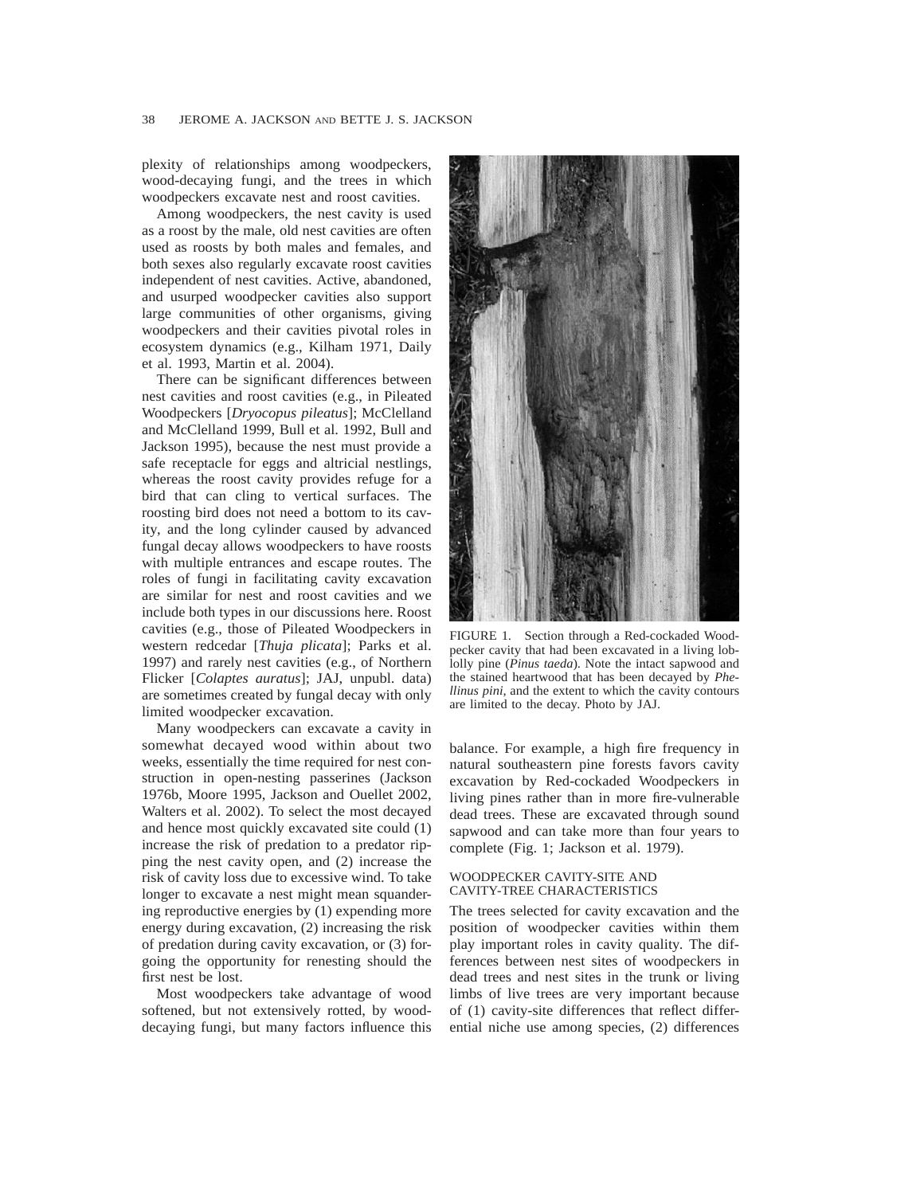plexity of relationships among woodpeckers, wood-decaying fungi, and the trees in which woodpeckers excavate nest and roost cavities.

Among woodpeckers, the nest cavity is used as a roost by the male, old nest cavities are often used as roosts by both males and females, and both sexes also regularly excavate roost cavities independent of nest cavities. Active, abandoned, and usurped woodpecker cavities also support large communities of other organisms, giving woodpeckers and their cavities pivotal roles in ecosystem dynamics (e.g., Kilham 1971, Daily et al. 1993, Martin et al. 2004).

There can be significant differences between nest cavities and roost cavities (e.g., in Pileated Woodpeckers [*Dryocopus pileatus*]; McClelland and McClelland 1999, Bull et al. 1992, Bull and Jackson 1995), because the nest must provide a safe receptacle for eggs and altricial nestlings, whereas the roost cavity provides refuge for a bird that can cling to vertical surfaces. The roosting bird does not need a bottom to its cavity, and the long cylinder caused by advanced fungal decay allows woodpeckers to have roosts with multiple entrances and escape routes. The roles of fungi in facilitating cavity excavation are similar for nest and roost cavities and we include both types in our discussions here. Roost cavities (e.g., those of Pileated Woodpeckers in western redcedar [*Thuja plicata*]; Parks et al. 1997) and rarely nest cavities (e.g., of Northern Flicker [*Colaptes auratus*]; JAJ, unpubl. data) are sometimes created by fungal decay with only limited woodpecker excavation.

Many woodpeckers can excavate a cavity in somewhat decayed wood within about two weeks, essentially the time required for nest construction in open-nesting passerines (Jackson 1976b, Moore 1995, Jackson and Ouellet 2002, Walters et al. 2002). To select the most decayed and hence most quickly excavated site could (1) increase the risk of predation to a predator ripping the nest cavity open, and (2) increase the risk of cavity loss due to excessive wind. To take longer to excavate a nest might mean squandering reproductive energies by (1) expending more energy during excavation, (2) increasing the risk of predation during cavity excavation, or (3) forgoing the opportunity for renesting should the first nest be lost.

Most woodpeckers take advantage of wood softened, but not extensively rotted, by wooddecaying fungi, but many factors influence this



FIGURE 1. Section through a Red-cockaded Woodpecker cavity that had been excavated in a living loblolly pine (*Pinus taeda*). Note the intact sapwood and the stained heartwood that has been decayed by *Phellinus pini*, and the extent to which the cavity contours are limited to the decay. Photo by JAJ.

balance. For example, a high fire frequency in natural southeastern pine forests favors cavity excavation by Red-cockaded Woodpeckers in living pines rather than in more fire-vulnerable dead trees. These are excavated through sound sapwood and can take more than four years to complete (Fig. 1; Jackson et al. 1979).

#### WOODPECKER CAVITY-SITE AND CAVITY-TREE CHARACTERISTICS

The trees selected for cavity excavation and the position of woodpecker cavities within them play important roles in cavity quality. The differences between nest sites of woodpeckers in dead trees and nest sites in the trunk or living limbs of live trees are very important because of (1) cavity-site differences that reflect differential niche use among species, (2) differences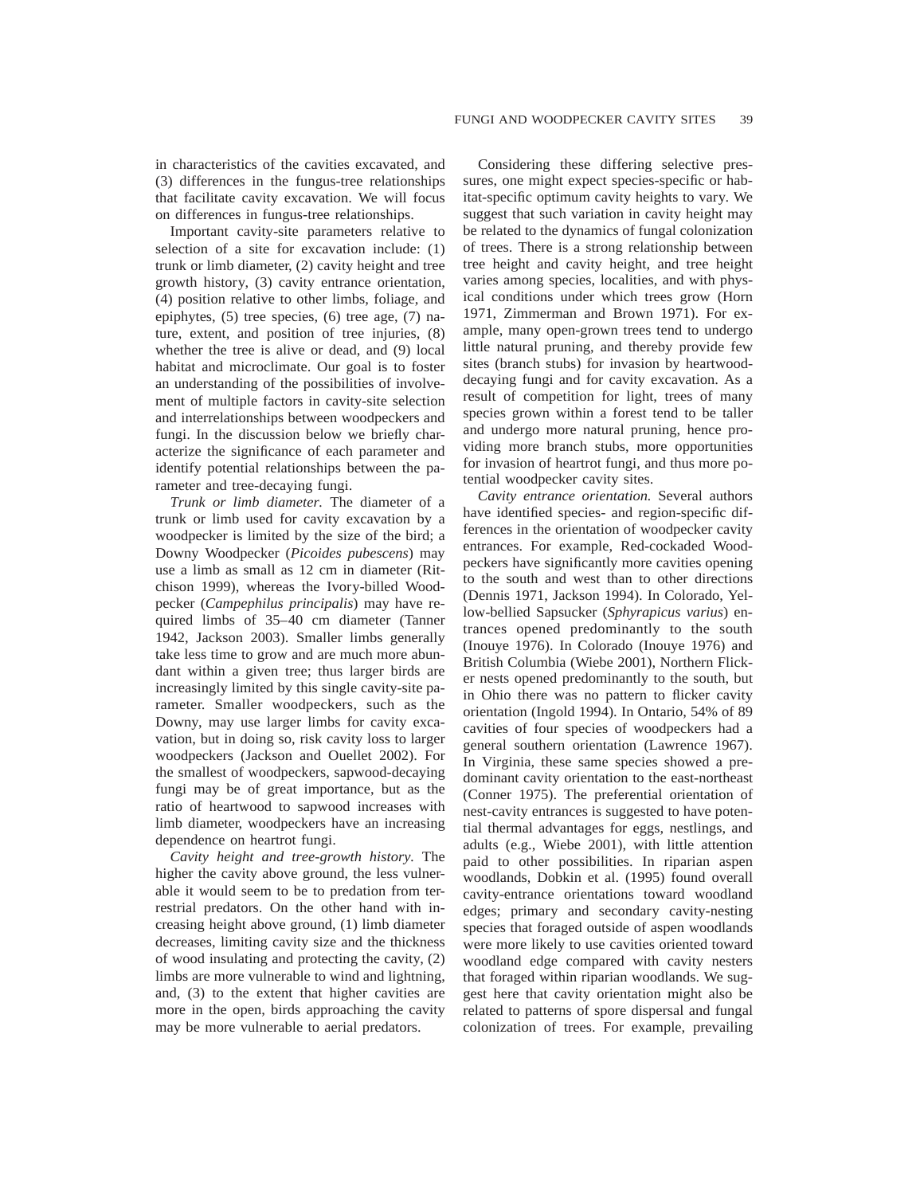in characteristics of the cavities excavated, and (3) differences in the fungus-tree relationships that facilitate cavity excavation. We will focus on differences in fungus-tree relationships.

Important cavity-site parameters relative to selection of a site for excavation include: (1) trunk or limb diameter, (2) cavity height and tree growth history, (3) cavity entrance orientation, (4) position relative to other limbs, foliage, and epiphytes, (5) tree species, (6) tree age, (7) nature, extent, and position of tree injuries, (8) whether the tree is alive or dead, and (9) local habitat and microclimate. Our goal is to foster an understanding of the possibilities of involvement of multiple factors in cavity-site selection and interrelationships between woodpeckers and fungi. In the discussion below we briefly characterize the significance of each parameter and identify potential relationships between the parameter and tree-decaying fungi.

*Trunk or limb diameter.* The diameter of a trunk or limb used for cavity excavation by a woodpecker is limited by the size of the bird; a Downy Woodpecker (*Picoides pubescens*) may use a limb as small as 12 cm in diameter (Ritchison 1999), whereas the Ivory-billed Woodpecker (*Campephilus principalis*) may have required limbs of 35–40 cm diameter (Tanner 1942, Jackson 2003). Smaller limbs generally take less time to grow and are much more abundant within a given tree; thus larger birds are increasingly limited by this single cavity-site parameter. Smaller woodpeckers, such as the Downy, may use larger limbs for cavity excavation, but in doing so, risk cavity loss to larger woodpeckers (Jackson and Ouellet 2002). For the smallest of woodpeckers, sapwood-decaying fungi may be of great importance, but as the ratio of heartwood to sapwood increases with limb diameter, woodpeckers have an increasing dependence on heartrot fungi.

*Cavity height and tree-growth history.* The higher the cavity above ground, the less vulnerable it would seem to be to predation from terrestrial predators. On the other hand with increasing height above ground, (1) limb diameter decreases, limiting cavity size and the thickness of wood insulating and protecting the cavity, (2) limbs are more vulnerable to wind and lightning, and, (3) to the extent that higher cavities are more in the open, birds approaching the cavity may be more vulnerable to aerial predators.

Considering these differing selective pressures, one might expect species-specific or habitat-specific optimum cavity heights to vary. We suggest that such variation in cavity height may be related to the dynamics of fungal colonization of trees. There is a strong relationship between tree height and cavity height, and tree height varies among species, localities, and with physical conditions under which trees grow (Horn 1971, Zimmerman and Brown 1971). For example, many open-grown trees tend to undergo little natural pruning, and thereby provide few sites (branch stubs) for invasion by heartwooddecaying fungi and for cavity excavation. As a result of competition for light, trees of many species grown within a forest tend to be taller and undergo more natural pruning, hence providing more branch stubs, more opportunities for invasion of heartrot fungi, and thus more potential woodpecker cavity sites.

*Cavity entrance orientation.* Several authors have identified species- and region-specific differences in the orientation of woodpecker cavity entrances. For example, Red-cockaded Woodpeckers have significantly more cavities opening to the south and west than to other directions (Dennis 1971, Jackson 1994). In Colorado, Yellow-bellied Sapsucker (*Sphyrapicus varius*) entrances opened predominantly to the south (Inouye 1976). In Colorado (Inouye 1976) and British Columbia (Wiebe 2001), Northern Flicker nests opened predominantly to the south, but in Ohio there was no pattern to flicker cavity orientation (Ingold 1994). In Ontario, 54% of 89 cavities of four species of woodpeckers had a general southern orientation (Lawrence 1967). In Virginia, these same species showed a predominant cavity orientation to the east-northeast (Conner 1975). The preferential orientation of nest-cavity entrances is suggested to have potential thermal advantages for eggs, nestlings, and adults (e.g., Wiebe 2001), with little attention paid to other possibilities. In riparian aspen woodlands, Dobkin et al. (1995) found overall cavity-entrance orientations toward woodland edges; primary and secondary cavity-nesting species that foraged outside of aspen woodlands were more likely to use cavities oriented toward woodland edge compared with cavity nesters that foraged within riparian woodlands. We suggest here that cavity orientation might also be related to patterns of spore dispersal and fungal colonization of trees. For example, prevailing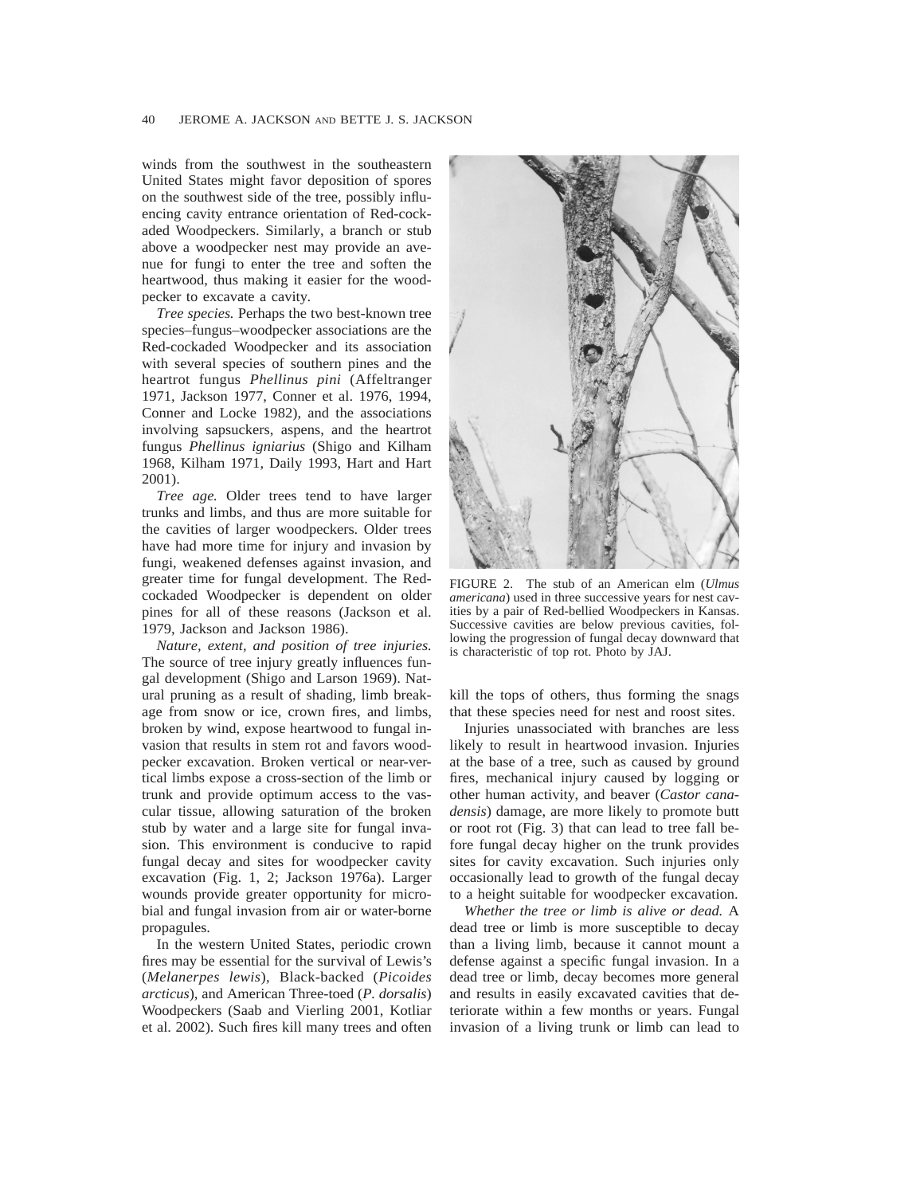winds from the southwest in the southeastern United States might favor deposition of spores on the southwest side of the tree, possibly influencing cavity entrance orientation of Red-cockaded Woodpeckers. Similarly, a branch or stub above a woodpecker nest may provide an avenue for fungi to enter the tree and soften the heartwood, thus making it easier for the woodpecker to excavate a cavity.

*Tree species.* Perhaps the two best-known tree species–fungus–woodpecker associations are the Red-cockaded Woodpecker and its association with several species of southern pines and the heartrot fungus *Phellinus pini* (Affeltranger 1971, Jackson 1977, Conner et al. 1976, 1994, Conner and Locke 1982), and the associations involving sapsuckers, aspens, and the heartrot fungus *Phellinus igniarius* (Shigo and Kilham 1968, Kilham 1971, Daily 1993, Hart and Hart 2001).

*Tree age.* Older trees tend to have larger trunks and limbs, and thus are more suitable for the cavities of larger woodpeckers. Older trees have had more time for injury and invasion by fungi, weakened defenses against invasion, and greater time for fungal development. The Redcockaded Woodpecker is dependent on older pines for all of these reasons (Jackson et al. 1979, Jackson and Jackson 1986).

*Nature, extent, and position of tree injuries.* The source of tree injury greatly influences fungal development (Shigo and Larson 1969). Natural pruning as a result of shading, limb breakage from snow or ice, crown fires, and limbs, broken by wind, expose heartwood to fungal invasion that results in stem rot and favors woodpecker excavation. Broken vertical or near-vertical limbs expose a cross-section of the limb or trunk and provide optimum access to the vascular tissue, allowing saturation of the broken stub by water and a large site for fungal invasion. This environment is conducive to rapid fungal decay and sites for woodpecker cavity excavation (Fig. 1, 2; Jackson 1976a). Larger wounds provide greater opportunity for microbial and fungal invasion from air or water-borne propagules.

In the western United States, periodic crown fires may be essential for the survival of Lewis's (*Melanerpes lewis*), Black-backed (*Picoides arcticus*), and American Three-toed (*P. dorsalis*) Woodpeckers (Saab and Vierling 2001, Kotliar et al. 2002). Such fires kill many trees and often



FIGURE 2. The stub of an American elm (*Ulmus americana*) used in three successive years for nest cavities by a pair of Red-bellied Woodpeckers in Kansas. Successive cavities are below previous cavities, following the progression of fungal decay downward that is characteristic of top rot. Photo by JAJ.

kill the tops of others, thus forming the snags that these species need for nest and roost sites.

Injuries unassociated with branches are less likely to result in heartwood invasion. Injuries at the base of a tree, such as caused by ground fires, mechanical injury caused by logging or other human activity, and beaver (*Castor canadensis*) damage, are more likely to promote butt or root rot (Fig. 3) that can lead to tree fall before fungal decay higher on the trunk provides sites for cavity excavation. Such injuries only occasionally lead to growth of the fungal decay to a height suitable for woodpecker excavation.

*Whether the tree or limb is alive or dead.* A dead tree or limb is more susceptible to decay than a living limb, because it cannot mount a defense against a specific fungal invasion. In a dead tree or limb, decay becomes more general and results in easily excavated cavities that deteriorate within a few months or years. Fungal invasion of a living trunk or limb can lead to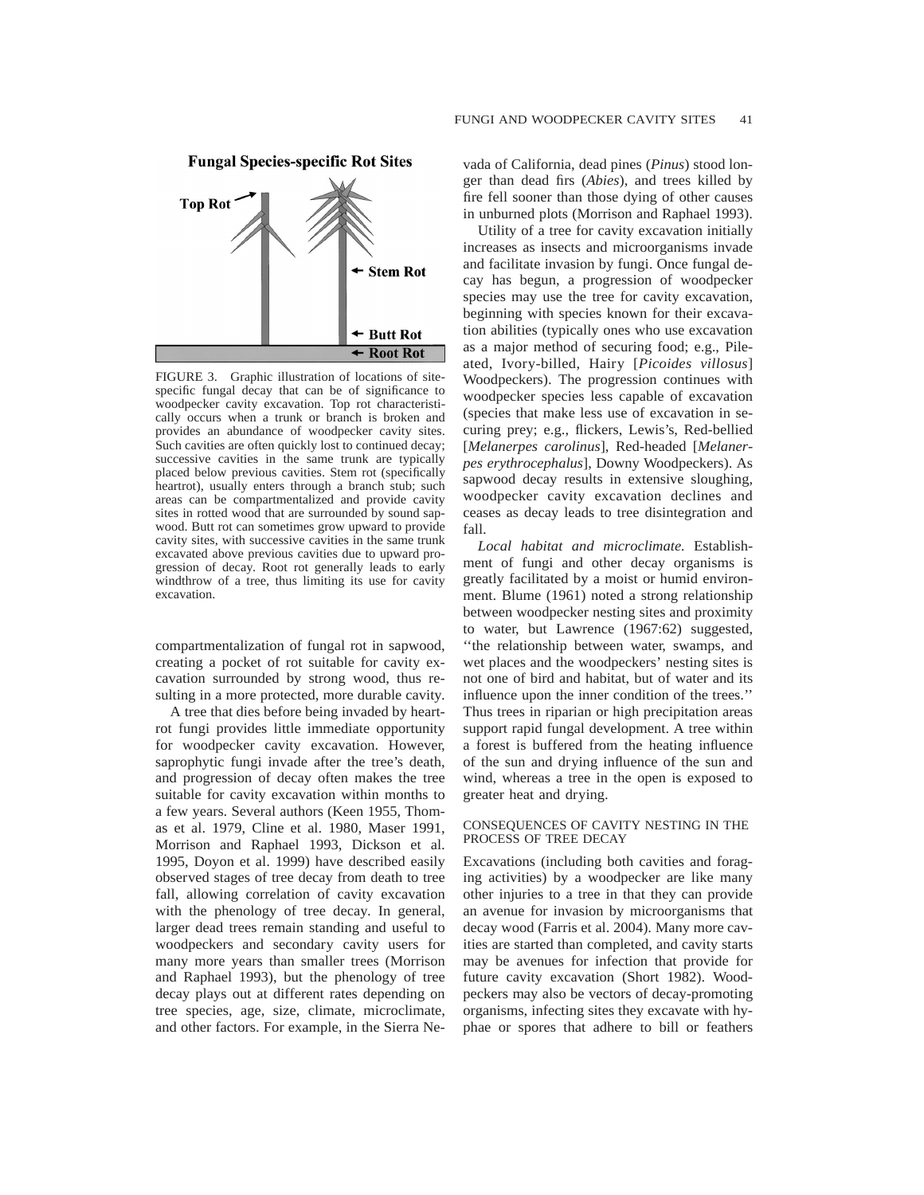

FIGURE 3. Graphic illustration of locations of sitespecific fungal decay that can be of significance to woodpecker cavity excavation. Top rot characteristically occurs when a trunk or branch is broken and provides an abundance of woodpecker cavity sites. Such cavities are often quickly lost to continued decay; successive cavities in the same trunk are typically placed below previous cavities. Stem rot (specifically heartrot), usually enters through a branch stub; such areas can be compartmentalized and provide cavity sites in rotted wood that are surrounded by sound sapwood. Butt rot can sometimes grow upward to provide cavity sites, with successive cavities in the same trunk excavated above previous cavities due to upward progression of decay. Root rot generally leads to early windthrow of a tree, thus limiting its use for cavity excavation.

compartmentalization of fungal rot in sapwood, creating a pocket of rot suitable for cavity excavation surrounded by strong wood, thus resulting in a more protected, more durable cavity.

A tree that dies before being invaded by heartrot fungi provides little immediate opportunity for woodpecker cavity excavation. However, saprophytic fungi invade after the tree's death, and progression of decay often makes the tree suitable for cavity excavation within months to a few years. Several authors (Keen 1955, Thomas et al. 1979, Cline et al. 1980, Maser 1991, Morrison and Raphael 1993, Dickson et al. 1995, Doyon et al. 1999) have described easily observed stages of tree decay from death to tree fall, allowing correlation of cavity excavation with the phenology of tree decay. In general, larger dead trees remain standing and useful to woodpeckers and secondary cavity users for many more years than smaller trees (Morrison and Raphael 1993), but the phenology of tree decay plays out at different rates depending on tree species, age, size, climate, microclimate, and other factors. For example, in the Sierra Ne-

vada of California, dead pines (*Pinus*) stood longer than dead firs (*Abies*), and trees killed by fire fell sooner than those dying of other causes in unburned plots (Morrison and Raphael 1993).

Utility of a tree for cavity excavation initially increases as insects and microorganisms invade and facilitate invasion by fungi. Once fungal decay has begun, a progression of woodpecker species may use the tree for cavity excavation, beginning with species known for their excavation abilities (typically ones who use excavation as a major method of securing food; e.g., Pileated, Ivory-billed, Hairy [*Picoides villosus*] Woodpeckers). The progression continues with woodpecker species less capable of excavation (species that make less use of excavation in securing prey; e.g., flickers, Lewis's, Red-bellied [*Melanerpes carolinus*], Red-headed [*Melanerpes erythrocephalus*], Downy Woodpeckers). As sapwood decay results in extensive sloughing, woodpecker cavity excavation declines and ceases as decay leads to tree disintegration and fall.

*Local habitat and microclimate.* Establishment of fungi and other decay organisms is greatly facilitated by a moist or humid environment. Blume (1961) noted a strong relationship between woodpecker nesting sites and proximity to water, but Lawrence (1967:62) suggested, ''the relationship between water, swamps, and wet places and the woodpeckers' nesting sites is not one of bird and habitat, but of water and its influence upon the inner condition of the trees.'' Thus trees in riparian or high precipitation areas support rapid fungal development. A tree within a forest is buffered from the heating influence of the sun and drying influence of the sun and wind, whereas a tree in the open is exposed to greater heat and drying.

### CONSEQUENCES OF CAVITY NESTING IN THE PROCESS OF TREE DECAY

Excavations (including both cavities and foraging activities) by a woodpecker are like many other injuries to a tree in that they can provide an avenue for invasion by microorganisms that decay wood (Farris et al. 2004). Many more cavities are started than completed, and cavity starts may be avenues for infection that provide for future cavity excavation (Short 1982). Woodpeckers may also be vectors of decay-promoting organisms, infecting sites they excavate with hyphae or spores that adhere to bill or feathers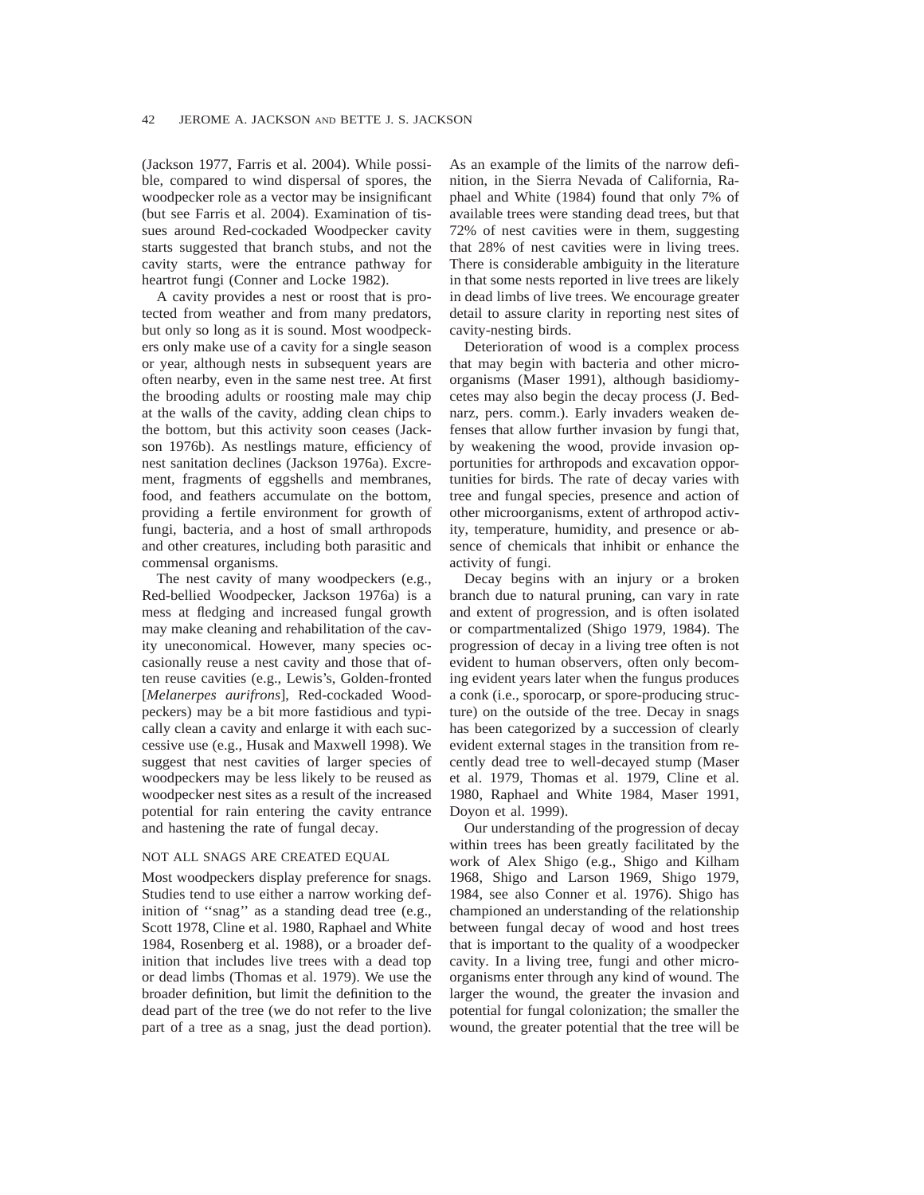(Jackson 1977, Farris et al. 2004). While possible, compared to wind dispersal of spores, the woodpecker role as a vector may be insignificant (but see Farris et al. 2004). Examination of tissues around Red-cockaded Woodpecker cavity starts suggested that branch stubs, and not the cavity starts, were the entrance pathway for heartrot fungi (Conner and Locke 1982).

A cavity provides a nest or roost that is protected from weather and from many predators, but only so long as it is sound. Most woodpeckers only make use of a cavity for a single season or year, although nests in subsequent years are often nearby, even in the same nest tree. At first the brooding adults or roosting male may chip at the walls of the cavity, adding clean chips to the bottom, but this activity soon ceases (Jackson 1976b). As nestlings mature, efficiency of nest sanitation declines (Jackson 1976a). Excrement, fragments of eggshells and membranes, food, and feathers accumulate on the bottom, providing a fertile environment for growth of fungi, bacteria, and a host of small arthropods and other creatures, including both parasitic and commensal organisms.

The nest cavity of many woodpeckers (e.g., Red-bellied Woodpecker, Jackson 1976a) is a mess at fledging and increased fungal growth may make cleaning and rehabilitation of the cavity uneconomical. However, many species occasionally reuse a nest cavity and those that often reuse cavities (e.g., Lewis's, Golden-fronted [*Melanerpes aurifrons*], Red-cockaded Woodpeckers) may be a bit more fastidious and typically clean a cavity and enlarge it with each successive use (e.g., Husak and Maxwell 1998). We suggest that nest cavities of larger species of woodpeckers may be less likely to be reused as woodpecker nest sites as a result of the increased potential for rain entering the cavity entrance and hastening the rate of fungal decay.

## NOT ALL SNAGS ARE CREATED EQUAL

Most woodpeckers display preference for snags. Studies tend to use either a narrow working definition of ''snag'' as a standing dead tree (e.g., Scott 1978, Cline et al. 1980, Raphael and White 1984, Rosenberg et al. 1988), or a broader definition that includes live trees with a dead top or dead limbs (Thomas et al. 1979). We use the broader definition, but limit the definition to the dead part of the tree (we do not refer to the live part of a tree as a snag, just the dead portion). As an example of the limits of the narrow definition, in the Sierra Nevada of California, Raphael and White (1984) found that only 7% of available trees were standing dead trees, but that 72% of nest cavities were in them, suggesting that 28% of nest cavities were in living trees. There is considerable ambiguity in the literature in that some nests reported in live trees are likely in dead limbs of live trees. We encourage greater detail to assure clarity in reporting nest sites of cavity-nesting birds.

Deterioration of wood is a complex process that may begin with bacteria and other microorganisms (Maser 1991), although basidiomycetes may also begin the decay process (J. Bednarz, pers. comm.). Early invaders weaken defenses that allow further invasion by fungi that, by weakening the wood, provide invasion opportunities for arthropods and excavation opportunities for birds. The rate of decay varies with tree and fungal species, presence and action of other microorganisms, extent of arthropod activity, temperature, humidity, and presence or absence of chemicals that inhibit or enhance the activity of fungi.

Decay begins with an injury or a broken branch due to natural pruning, can vary in rate and extent of progression, and is often isolated or compartmentalized (Shigo 1979, 1984). The progression of decay in a living tree often is not evident to human observers, often only becoming evident years later when the fungus produces a conk (i.e., sporocarp, or spore-producing structure) on the outside of the tree. Decay in snags has been categorized by a succession of clearly evident external stages in the transition from recently dead tree to well-decayed stump (Maser et al. 1979, Thomas et al. 1979, Cline et al. 1980, Raphael and White 1984, Maser 1991, Doyon et al. 1999).

Our understanding of the progression of decay within trees has been greatly facilitated by the work of Alex Shigo (e.g., Shigo and Kilham 1968, Shigo and Larson 1969, Shigo 1979, 1984, see also Conner et al. 1976). Shigo has championed an understanding of the relationship between fungal decay of wood and host trees that is important to the quality of a woodpecker cavity. In a living tree, fungi and other microorganisms enter through any kind of wound. The larger the wound, the greater the invasion and potential for fungal colonization; the smaller the wound, the greater potential that the tree will be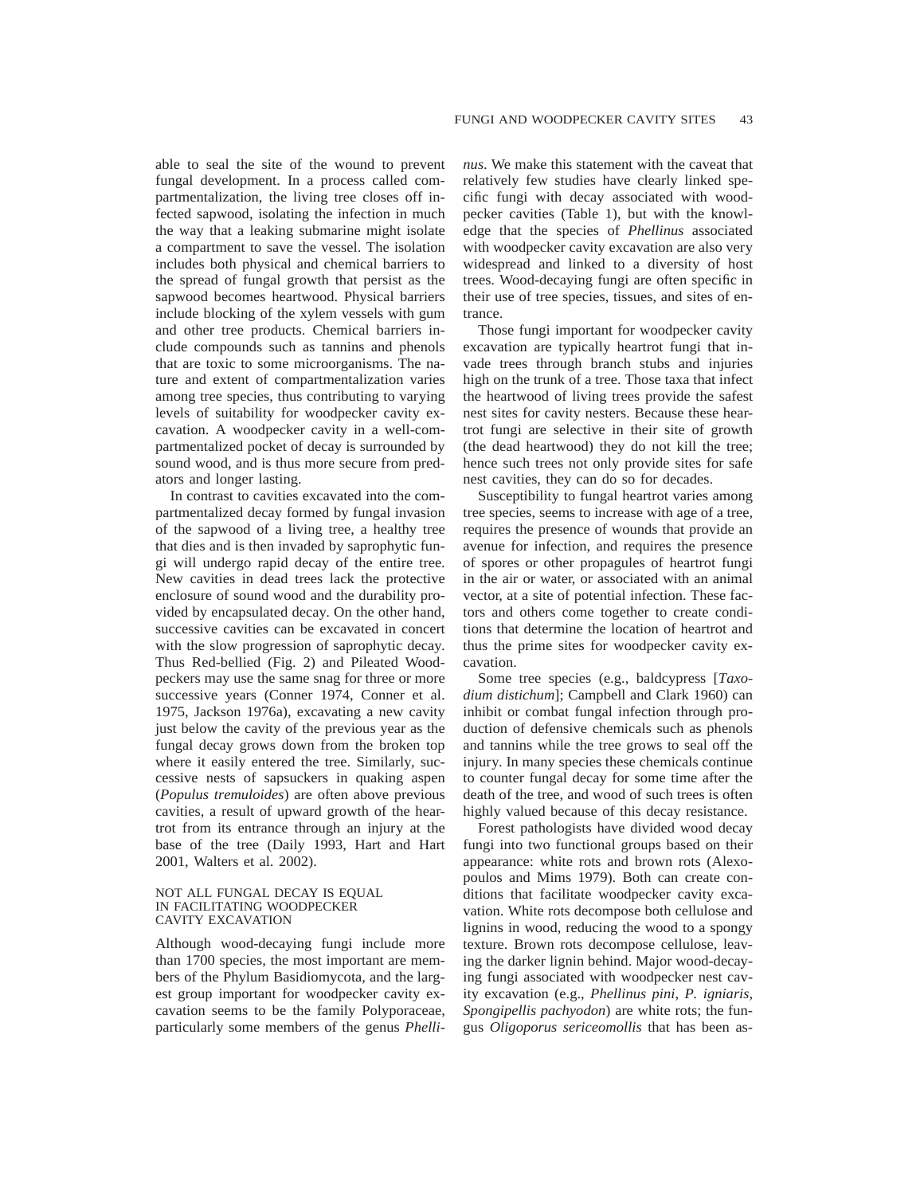able to seal the site of the wound to prevent fungal development. In a process called compartmentalization, the living tree closes off infected sapwood, isolating the infection in much the way that a leaking submarine might isolate a compartment to save the vessel. The isolation includes both physical and chemical barriers to the spread of fungal growth that persist as the sapwood becomes heartwood. Physical barriers include blocking of the xylem vessels with gum and other tree products. Chemical barriers include compounds such as tannins and phenols that are toxic to some microorganisms. The nature and extent of compartmentalization varies among tree species, thus contributing to varying levels of suitability for woodpecker cavity excavation. A woodpecker cavity in a well-compartmentalized pocket of decay is surrounded by sound wood, and is thus more secure from predators and longer lasting.

In contrast to cavities excavated into the compartmentalized decay formed by fungal invasion of the sapwood of a living tree, a healthy tree that dies and is then invaded by saprophytic fungi will undergo rapid decay of the entire tree. New cavities in dead trees lack the protective enclosure of sound wood and the durability provided by encapsulated decay. On the other hand, successive cavities can be excavated in concert with the slow progression of saprophytic decay. Thus Red-bellied (Fig. 2) and Pileated Woodpeckers may use the same snag for three or more successive years (Conner 1974, Conner et al. 1975, Jackson 1976a), excavating a new cavity just below the cavity of the previous year as the fungal decay grows down from the broken top where it easily entered the tree. Similarly, successive nests of sapsuckers in quaking aspen (*Populus tremuloides*) are often above previous cavities, a result of upward growth of the heartrot from its entrance through an injury at the base of the tree (Daily 1993, Hart and Hart 2001, Walters et al. 2002).

#### NOT ALL FUNGAL DECAY IS EQUAL IN FACILITATING WOODPECKER CAVITY EXCAVATION

Although wood-decaying fungi include more than 1700 species, the most important are members of the Phylum Basidiomycota, and the largest group important for woodpecker cavity excavation seems to be the family Polyporaceae, particularly some members of the genus *Phelli-* *nus*. We make this statement with the caveat that relatively few studies have clearly linked specific fungi with decay associated with woodpecker cavities (Table 1), but with the knowledge that the species of *Phellinus* associated with woodpecker cavity excavation are also very widespread and linked to a diversity of host trees. Wood-decaying fungi are often specific in their use of tree species, tissues, and sites of entrance.

Those fungi important for woodpecker cavity excavation are typically heartrot fungi that invade trees through branch stubs and injuries high on the trunk of a tree. Those taxa that infect the heartwood of living trees provide the safest nest sites for cavity nesters. Because these heartrot fungi are selective in their site of growth (the dead heartwood) they do not kill the tree; hence such trees not only provide sites for safe nest cavities, they can do so for decades.

Susceptibility to fungal heartrot varies among tree species, seems to increase with age of a tree, requires the presence of wounds that provide an avenue for infection, and requires the presence of spores or other propagules of heartrot fungi in the air or water, or associated with an animal vector, at a site of potential infection. These factors and others come together to create conditions that determine the location of heartrot and thus the prime sites for woodpecker cavity excavation.

Some tree species (e.g., baldcypress [*Taxodium distichum*]; Campbell and Clark 1960) can inhibit or combat fungal infection through production of defensive chemicals such as phenols and tannins while the tree grows to seal off the injury. In many species these chemicals continue to counter fungal decay for some time after the death of the tree, and wood of such trees is often highly valued because of this decay resistance.

Forest pathologists have divided wood decay fungi into two functional groups based on their appearance: white rots and brown rots (Alexopoulos and Mims 1979). Both can create conditions that facilitate woodpecker cavity excavation. White rots decompose both cellulose and lignins in wood, reducing the wood to a spongy texture. Brown rots decompose cellulose, leaving the darker lignin behind. Major wood-decaying fungi associated with woodpecker nest cavity excavation (e.g., *Phellinus pini*, *P. igniaris*, *Spongipellis pachyodon*) are white rots; the fungus *Oligoporus sericeomollis* that has been as-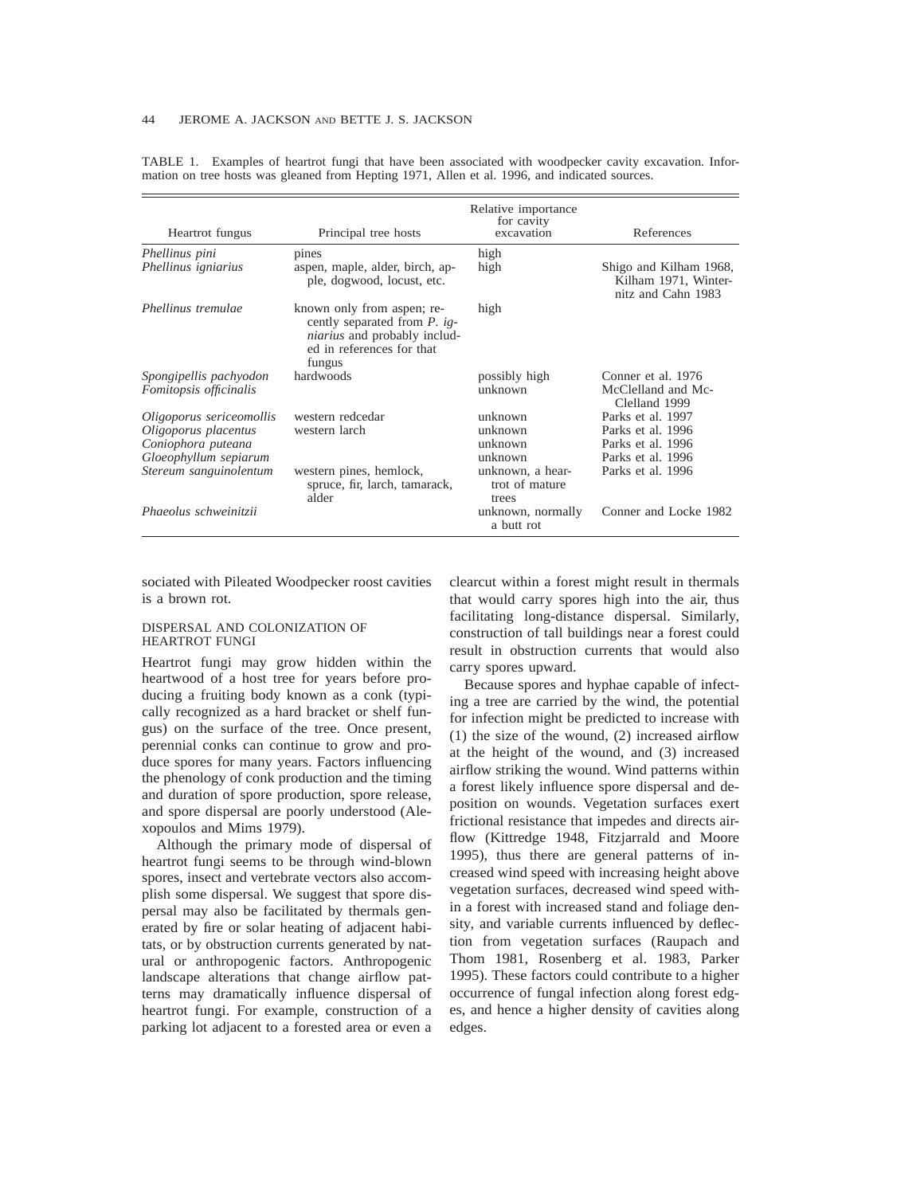| Heartrot fungus                                                                                 | Principal tree hosts                                                                                                                     | Relative importance<br>for cavity<br>excavation                                | References                                                                       |
|-------------------------------------------------------------------------------------------------|------------------------------------------------------------------------------------------------------------------------------------------|--------------------------------------------------------------------------------|----------------------------------------------------------------------------------|
| Phellinus pini<br>Phellinus igniarius                                                           | pines<br>aspen, maple, alder, birch, ap-<br>ple, dogwood, locust, etc.                                                                   | high<br>high                                                                   | Shigo and Kilham 1968,<br>Kilham 1971, Winter-<br>nitz and Cahn 1983             |
| Phellinus tremulae                                                                              | known only from aspen; re-<br>cently separated from P. ig-<br><i>niarius</i> and probably includ-<br>ed in references for that<br>fungus | high                                                                           |                                                                                  |
| Spongipellis pachyodon<br>Fomitopsis officinalis                                                | hardwoods                                                                                                                                | possibly high<br>unknown                                                       | Conner et al. 1976<br>McClelland and Mc-<br>Clelland 1999                        |
| Oligoporus sericeomollis<br>Oligoporus placentus<br>Coniophora puteana<br>Gloeophyllum sepiarum | western redcedar<br>western larch                                                                                                        | unknown<br>unknown<br>unknown<br>unknown                                       | Parks et al. 1997<br>Parks et al. 1996<br>Parks et al. 1996<br>Parks et al. 1996 |
| Stereum sanguinolentum<br>Phaeolus schweinitzii                                                 | western pines, hemlock,<br>spruce, fir, larch, tamarack,<br>alder                                                                        | unknown, a hear-<br>trot of mature<br>trees<br>unknown, normally<br>a butt rot | Parks et al. 1996<br>Conner and Locke 1982                                       |

TABLE 1. Examples of heartrot fungi that have been associated with woodpecker cavity excavation. Information on tree hosts was gleaned from Hepting 1971, Allen et al. 1996, and indicated sources.

sociated with Pileated Woodpecker roost cavities is a brown rot.

#### DISPERSAL AND COLONIZATION OF HEARTROT FUNGI

Heartrot fungi may grow hidden within the heartwood of a host tree for years before producing a fruiting body known as a conk (typically recognized as a hard bracket or shelf fungus) on the surface of the tree. Once present, perennial conks can continue to grow and produce spores for many years. Factors influencing the phenology of conk production and the timing and duration of spore production, spore release, and spore dispersal are poorly understood (Alexopoulos and Mims 1979).

Although the primary mode of dispersal of heartrot fungi seems to be through wind-blown spores, insect and vertebrate vectors also accomplish some dispersal. We suggest that spore dispersal may also be facilitated by thermals generated by fire or solar heating of adjacent habitats, or by obstruction currents generated by natural or anthropogenic factors. Anthropogenic landscape alterations that change airflow patterns may dramatically influence dispersal of heartrot fungi. For example, construction of a parking lot adjacent to a forested area or even a clearcut within a forest might result in thermals that would carry spores high into the air, thus facilitating long-distance dispersal. Similarly, construction of tall buildings near a forest could result in obstruction currents that would also carry spores upward.

Because spores and hyphae capable of infecting a tree are carried by the wind, the potential for infection might be predicted to increase with (1) the size of the wound, (2) increased airflow at the height of the wound, and (3) increased airflow striking the wound. Wind patterns within a forest likely influence spore dispersal and deposition on wounds. Vegetation surfaces exert frictional resistance that impedes and directs airflow (Kittredge 1948, Fitzjarrald and Moore 1995), thus there are general patterns of increased wind speed with increasing height above vegetation surfaces, decreased wind speed within a forest with increased stand and foliage density, and variable currents influenced by deflection from vegetation surfaces (Raupach and Thom 1981, Rosenberg et al. 1983, Parker 1995). These factors could contribute to a higher occurrence of fungal infection along forest edges, and hence a higher density of cavities along edges.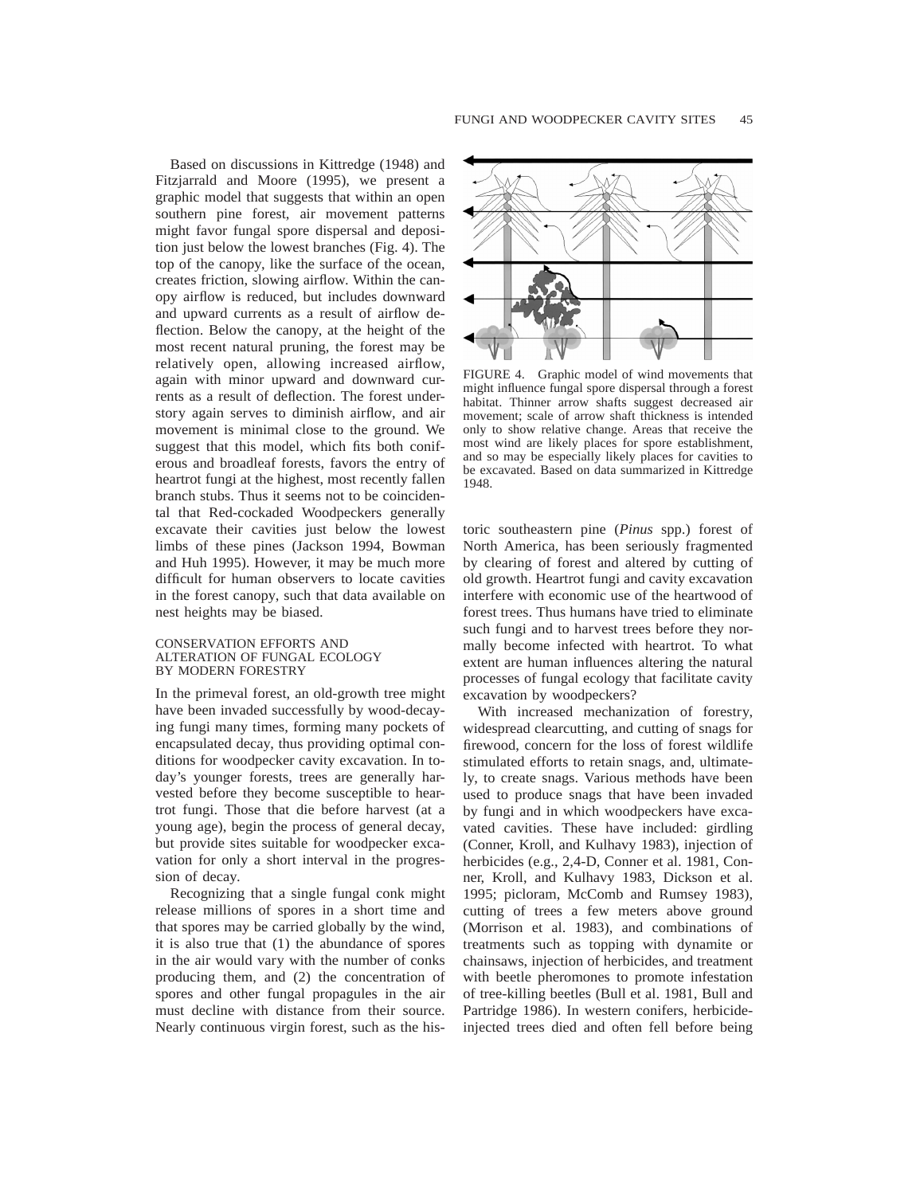Based on discussions in Kittredge (1948) and Fitzjarrald and Moore (1995), we present a graphic model that suggests that within an open southern pine forest, air movement patterns might favor fungal spore dispersal and deposition just below the lowest branches (Fig. 4). The top of the canopy, like the surface of the ocean, creates friction, slowing airflow. Within the canopy airflow is reduced, but includes downward and upward currents as a result of airflow deflection. Below the canopy, at the height of the most recent natural pruning, the forest may be relatively open, allowing increased airflow, again with minor upward and downward currents as a result of deflection. The forest understory again serves to diminish airflow, and air movement is minimal close to the ground. We suggest that this model, which fits both coniferous and broadleaf forests, favors the entry of heartrot fungi at the highest, most recently fallen branch stubs. Thus it seems not to be coincidental that Red-cockaded Woodpeckers generally excavate their cavities just below the lowest limbs of these pines (Jackson 1994, Bowman and Huh 1995). However, it may be much more difficult for human observers to locate cavities in the forest canopy, such that data available on nest heights may be biased.

#### CONSERVATION EFFORTS AND ALTERATION OF FUNGAL ECOLOGY BY MODERN FORESTRY

In the primeval forest, an old-growth tree might have been invaded successfully by wood-decaying fungi many times, forming many pockets of encapsulated decay, thus providing optimal conditions for woodpecker cavity excavation. In today's younger forests, trees are generally harvested before they become susceptible to heartrot fungi. Those that die before harvest (at a young age), begin the process of general decay, but provide sites suitable for woodpecker excavation for only a short interval in the progression of decay.

Recognizing that a single fungal conk might release millions of spores in a short time and that spores may be carried globally by the wind, it is also true that (1) the abundance of spores in the air would vary with the number of conks producing them, and (2) the concentration of spores and other fungal propagules in the air must decline with distance from their source. Nearly continuous virgin forest, such as the his-



FIGURE 4. Graphic model of wind movements that might influence fungal spore dispersal through a forest habitat. Thinner arrow shafts suggest decreased air movement; scale of arrow shaft thickness is intended only to show relative change. Areas that receive the most wind are likely places for spore establishment, and so may be especially likely places for cavities to be excavated. Based on data summarized in Kittredge 1948.

toric southeastern pine (*Pinus* spp.) forest of North America, has been seriously fragmented by clearing of forest and altered by cutting of old growth. Heartrot fungi and cavity excavation interfere with economic use of the heartwood of forest trees. Thus humans have tried to eliminate such fungi and to harvest trees before they normally become infected with heartrot. To what extent are human influences altering the natural processes of fungal ecology that facilitate cavity excavation by woodpeckers?

With increased mechanization of forestry, widespread clearcutting, and cutting of snags for firewood, concern for the loss of forest wildlife stimulated efforts to retain snags, and, ultimately, to create snags. Various methods have been used to produce snags that have been invaded by fungi and in which woodpeckers have excavated cavities. These have included: girdling (Conner, Kroll, and Kulhavy 1983), injection of herbicides (e.g., 2,4-D, Conner et al. 1981, Conner, Kroll, and Kulhavy 1983, Dickson et al. 1995; picloram, McComb and Rumsey 1983), cutting of trees a few meters above ground (Morrison et al. 1983), and combinations of treatments such as topping with dynamite or chainsaws, injection of herbicides, and treatment with beetle pheromones to promote infestation of tree-killing beetles (Bull et al. 1981, Bull and Partridge 1986). In western conifers, herbicideinjected trees died and often fell before being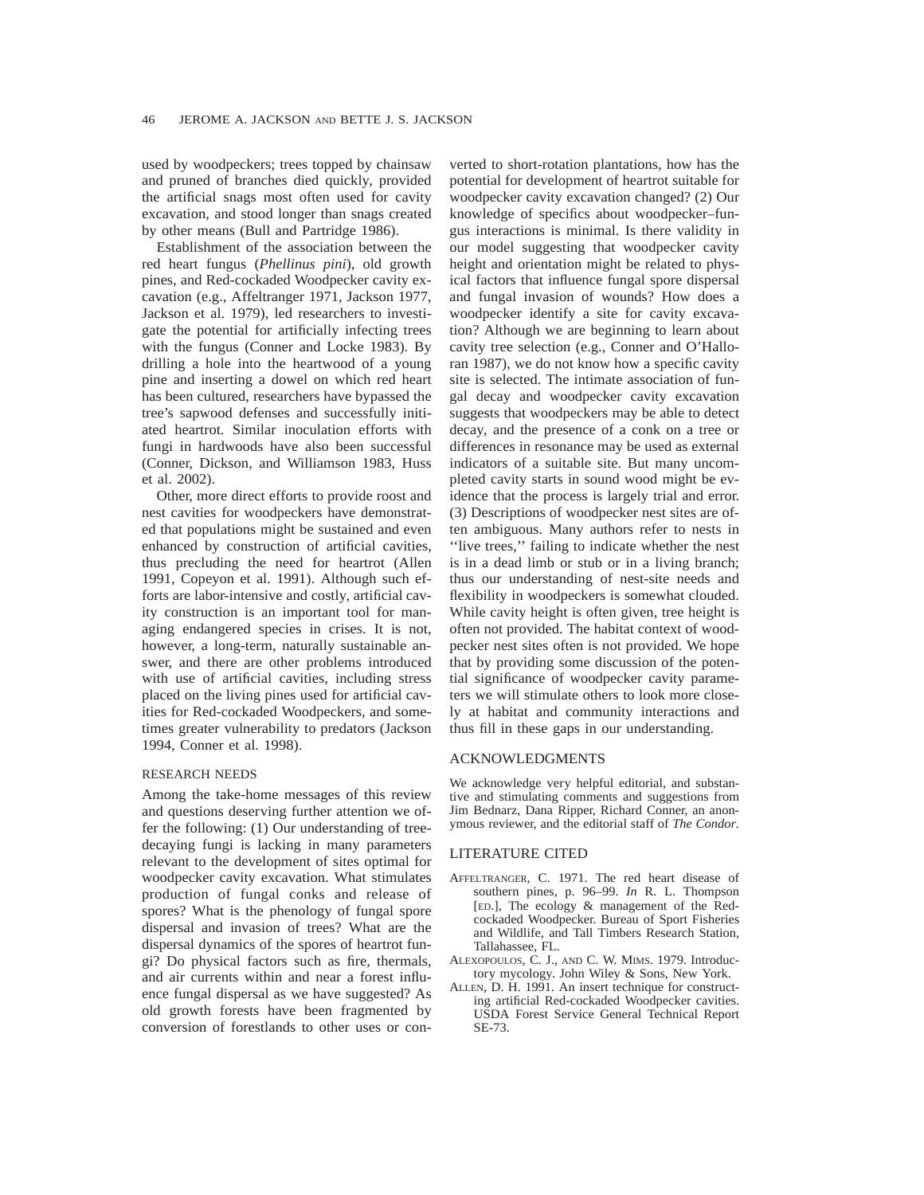used by woodpeckers; trees topped by chainsaw and pruned of branches died quickly, provided the artificial snags most often used for cavity excavation, and stood longer than snags created by other means (Bull and Partridge 1986).

Establishment of the association between the red heart fungus (*Phellinus pini*), old growth pines, and Red-cockaded Woodpecker cavity excavation (e.g., Affeltranger 1971, Jackson 1977, Jackson et al. 1979), led researchers to investigate the potential for artificially infecting trees with the fungus (Conner and Locke 1983). By drilling a hole into the heartwood of a young pine and inserting a dowel on which red heart has been cultured, researchers have bypassed the tree's sapwood defenses and successfully initiated heartrot. Similar inoculation efforts with fungi in hardwoods have also been successful (Conner, Dickson, and Williamson 1983, Huss et al. 2002).

Other, more direct efforts to provide roost and nest cavities for woodpeckers have demonstrated that populations might be sustained and even enhanced by construction of artificial cavities, thus precluding the need for heartrot (Allen 1991, Copeyon et al. 1991). Although such efforts are labor-intensive and costly, artificial cavity construction is an important tool for managing endangered species in crises. It is not, however, a long-term, naturally sustainable answer, and there are other problems introduced with use of artificial cavities, including stress placed on the living pines used for artificial cavities for Red-cockaded Woodpeckers, and sometimes greater vulnerability to predators (Jackson 1994, Conner et al. 1998).

## RESEARCH NEEDS

Among the take-home messages of this review and questions deserving further attention we offer the following: (1) Our understanding of treedecaying fungi is lacking in many parameters relevant to the development of sites optimal for woodpecker cavity excavation. What stimulates production of fungal conks and release of spores? What is the phenology of fungal spore dispersal and invasion of trees? What are the dispersal dynamics of the spores of heartrot fungi? Do physical factors such as fire, thermals, and air currents within and near a forest influence fungal dispersal as we have suggested? As old growth forests have been fragmented by conversion of forestlands to other uses or converted to short-rotation plantations, how has the potential for development of heartrot suitable for woodpecker cavity excavation changed? (2) Our knowledge of specifics about woodpecker–fungus interactions is minimal. Is there validity in our model suggesting that woodpecker cavity height and orientation might be related to physical factors that influence fungal spore dispersal and fungal invasion of wounds? How does a woodpecker identify a site for cavity excavation? Although we are beginning to learn about cavity tree selection (e.g., Conner and O'Halloran 1987), we do not know how a specific cavity site is selected. The intimate association of fungal decay and woodpecker cavity excavation suggests that woodpeckers may be able to detect decay, and the presence of a conk on a tree or differences in resonance may be used as external indicators of a suitable site. But many uncompleted cavity starts in sound wood might be evidence that the process is largely trial and error. (3) Descriptions of woodpecker nest sites are often ambiguous. Many authors refer to nests in ''live trees,'' failing to indicate whether the nest is in a dead limb or stub or in a living branch; thus our understanding of nest-site needs and flexibility in woodpeckers is somewhat clouded. While cavity height is often given, tree height is often not provided. The habitat context of woodpecker nest sites often is not provided. We hope that by providing some discussion of the potential significance of woodpecker cavity parameters we will stimulate others to look more closely at habitat and community interactions and thus fill in these gaps in our understanding.

# ACKNOWLEDGMENTS

We acknowledge very helpful editorial, and substantive and stimulating comments and suggestions from Jim Bednarz, Dana Ripper, Richard Conner, an anonymous reviewer, and the editorial staff of *The Condor.*

## LITERATURE CITED

- AFFELTRANGER, C. 1971. The red heart disease of southern pines, p. 96–99. *In* R. L. Thompson [ED.], The ecology & management of the Redcockaded Woodpecker. Bureau of Sport Fisheries and Wildlife, and Tall Timbers Research Station, Tallahassee, FL.
- ALEXOPOULOS, C. J., AND C. W. MIMS. 1979. Introductory mycology. John Wiley & Sons, New York.
- ALLEN, D. H. 1991. An insert technique for constructing artificial Red-cockaded Woodpecker cavities. USDA Forest Service General Technical Report SE-73.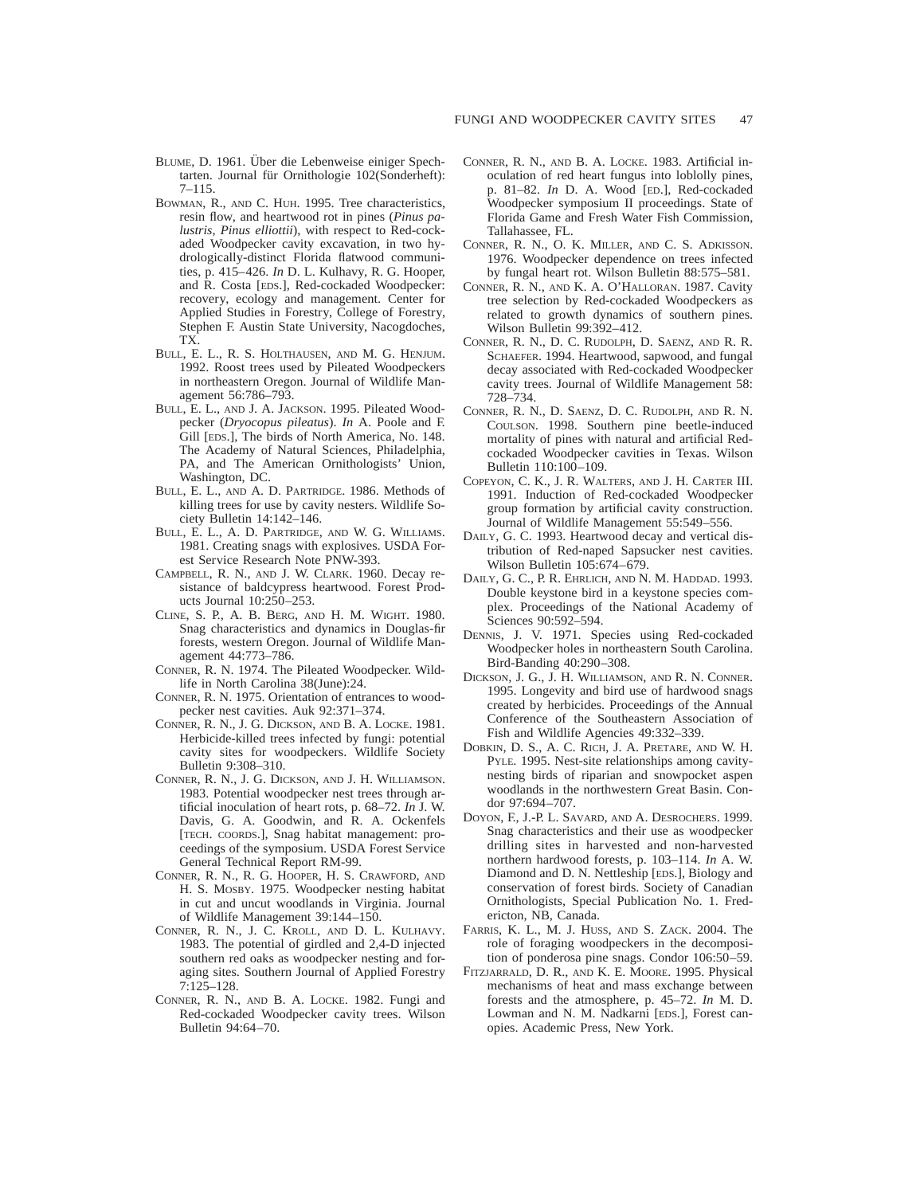- BLUME, D. 1961. Uber die Lebenweise einiger Spechtarten. Journal für Ornithologie 102(Sonderheft): 7–115.
- BOWMAN, R., AND C. HUH. 1995. Tree characteristics, resin flow, and heartwood rot in pines (*Pinus palustris*, *Pinus elliottii*), with respect to Red-cockaded Woodpecker cavity excavation, in two hydrologically-distinct Florida flatwood communities, p. 415–426. *In* D. L. Kulhavy, R. G. Hooper, and R. Costa [EDS.], Red-cockaded Woodpecker: recovery, ecology and management. Center for Applied Studies in Forestry, College of Forestry, Stephen F. Austin State University, Nacogdoches, TX.
- BULL, E. L., R. S. HOLTHAUSEN, AND M. G. HENJUM. 1992. Roost trees used by Pileated Woodpeckers in northeastern Oregon. Journal of Wildlife Management 56:786–793.
- BULL, E. L., AND J. A. JACKSON. 1995. Pileated Woodpecker (*Dryocopus pileatus*). *In* A. Poole and F. Gill [EDS.], The birds of North America, No. 148. The Academy of Natural Sciences, Philadelphia, PA, and The American Ornithologists' Union, Washington, DC.
- BULL, E. L., AND A. D. PARTRIDGE. 1986. Methods of killing trees for use by cavity nesters. Wildlife Society Bulletin 14:142–146.
- BULL, E. L., A. D. PARTRIDGE, AND W. G. WILLIAMS. 1981. Creating snags with explosives. USDA Forest Service Research Note PNW-393.
- CAMPBELL, R. N., AND J. W. CLARK. 1960. Decay resistance of baldcypress heartwood. Forest Products Journal 10:250–253.
- CLINE, S. P., A. B. BERG, AND H. M. WIGHT. 1980. Snag characteristics and dynamics in Douglas-fir forests, western Oregon. Journal of Wildlife Management 44:773–786.
- CONNER, R. N. 1974. The Pileated Woodpecker. Wildlife in North Carolina 38(June):24.
- CONNER, R. N. 1975. Orientation of entrances to woodpecker nest cavities. Auk 92:371–374.
- CONNER, R. N., J. G. DICKSON, AND B. A. LOCKE. 1981. Herbicide-killed trees infected by fungi: potential cavity sites for woodpeckers. Wildlife Society Bulletin 9:308–310.
- CONNER, R. N., J. G. DICKSON, AND J. H. WILLIAMSON. 1983. Potential woodpecker nest trees through artificial inoculation of heart rots, p. 68–72. *In* J. W. Davis, G. A. Goodwin, and R. A. Ockenfels [TECH. COORDS.], Snag habitat management: proceedings of the symposium. USDA Forest Service General Technical Report RM-99.
- CONNER, R. N., R. G. HOOPER, H. S. CRAWFORD, AND H. S. MOSBY. 1975. Woodpecker nesting habitat in cut and uncut woodlands in Virginia. Journal of Wildlife Management 39:144–150.
- CONNER, R. N., J. C. KROLL, AND D. L. KULHAVY. 1983. The potential of girdled and 2,4-D injected southern red oaks as woodpecker nesting and foraging sites. Southern Journal of Applied Forestry 7:125–128.
- CONNER, R. N., AND B. A. LOCKE. 1982. Fungi and Red-cockaded Woodpecker cavity trees. Wilson Bulletin 94:64–70.
- CONNER, R. N., AND B. A. LOCKE. 1983. Artificial inoculation of red heart fungus into loblolly pines, p. 81–82. *In* D. A. Wood [ED.], Red-cockaded Woodpecker symposium II proceedings. State of Florida Game and Fresh Water Fish Commission, Tallahassee, FL.
- CONNER, R. N., O. K. MILLER, AND C. S. ADKISSON. 1976. Woodpecker dependence on trees infected by fungal heart rot. Wilson Bulletin 88:575–581.
- CONNER, R. N., AND K. A. O'HALLORAN. 1987. Cavity tree selection by Red-cockaded Woodpeckers as related to growth dynamics of southern pines. Wilson Bulletin 99:392–412.
- CONNER, R. N., D. C. RUDOLPH, D. SAENZ, AND R. R. SCHAEFER. 1994. Heartwood, sapwood, and fungal decay associated with Red-cockaded Woodpecker cavity trees. Journal of Wildlife Management 58: 728–734.
- CONNER, R. N., D. SAENZ, D. C. RUDOLPH, AND R. N. COULSON. 1998. Southern pine beetle-induced mortality of pines with natural and artificial Redcockaded Woodpecker cavities in Texas. Wilson Bulletin 110:100–109.
- COPEYON, C. K., J. R. WALTERS, AND J. H. CARTER III. 1991. Induction of Red-cockaded Woodpecker group formation by artificial cavity construction. Journal of Wildlife Management 55:549–556.
- DAILY, G. C. 1993. Heartwood decay and vertical distribution of Red-naped Sapsucker nest cavities. Wilson Bulletin 105:674–679.
- DAILY, G. C., P. R. EHRLICH, AND N. M. HADDAD. 1993. Double keystone bird in a keystone species complex. Proceedings of the National Academy of Sciences 90:592–594.
- DENNIS, J. V. 1971. Species using Red-cockaded Woodpecker holes in northeastern South Carolina. Bird-Banding 40:290–308.
- DICKSON, J. G., J. H. WILLIAMSON, AND R. N. CONNER. 1995. Longevity and bird use of hardwood snags created by herbicides. Proceedings of the Annual Conference of the Southeastern Association of Fish and Wildlife Agencies 49:332–339.
- DOBKIN, D. S., A. C. RICH, J. A. PRETARE, AND W. H. PYLE. 1995. Nest-site relationships among cavitynesting birds of riparian and snowpocket aspen woodlands in the northwestern Great Basin. Condor 97:694–707.
- DOYON, F., J.-P. L. SAVARD, AND A. DESROCHERS. 1999. Snag characteristics and their use as woodpecker drilling sites in harvested and non-harvested northern hardwood forests, p. 103–114. *In* A. W. Diamond and D. N. Nettleship [EDS.], Biology and conservation of forest birds. Society of Canadian Ornithologists, Special Publication No. 1. Fredericton, NB, Canada.
- FARRIS, K. L., M. J. HUSS, AND S. ZACK. 2004. The role of foraging woodpeckers in the decomposition of ponderosa pine snags. Condor 106:50–59.
- FITZJARRALD, D. R., AND K. E. MOORE. 1995. Physical mechanisms of heat and mass exchange between forests and the atmosphere, p. 45–72. *In* M. D. Lowman and N. M. Nadkarni [EDS.], Forest canopies. Academic Press, New York.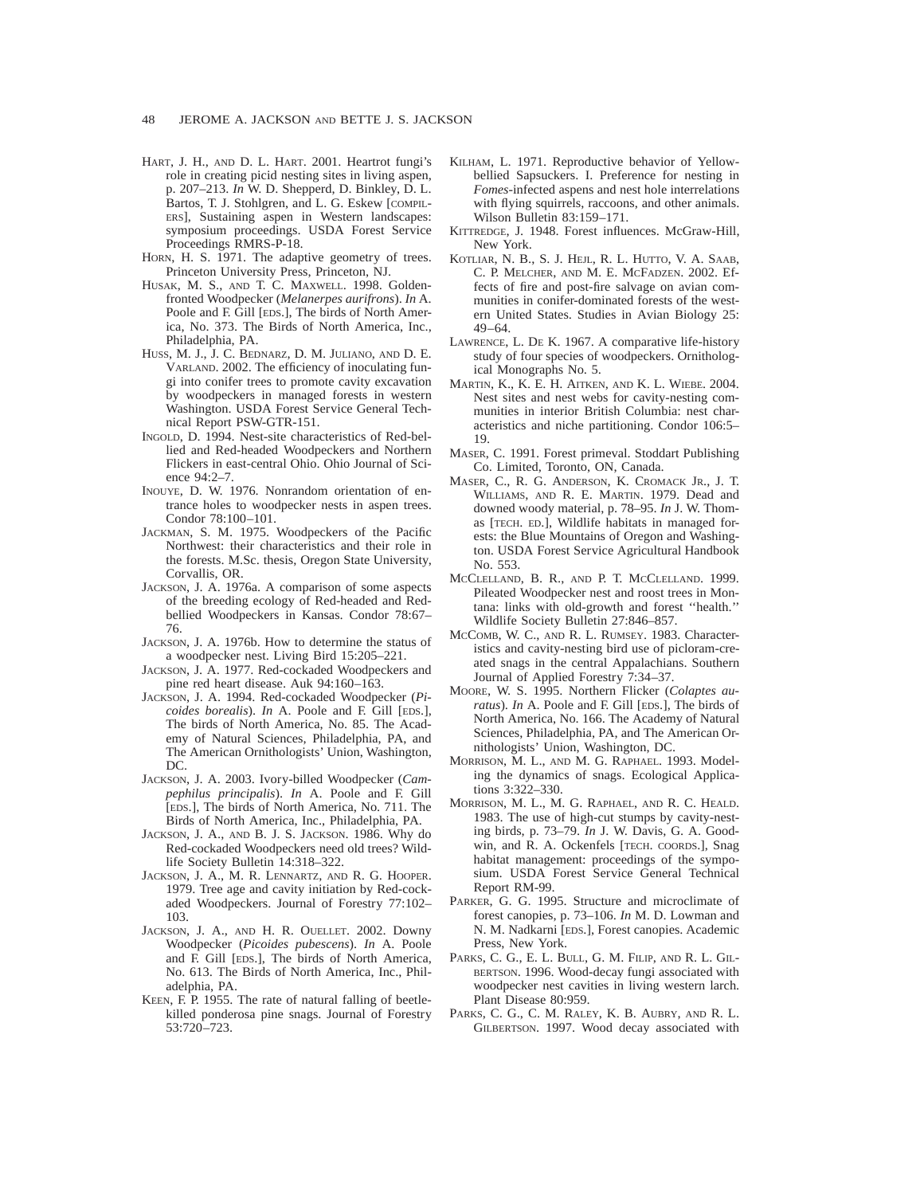- HART, J. H., AND D. L. HART. 2001. Heartrot fungi's role in creating picid nesting sites in living aspen, p. 207–213. *In* W. D. Shepperd, D. Binkley, D. L. Bartos, T. J. Stohlgren, and L. G. Eskew [COMPIL-ERS], Sustaining aspen in Western landscapes: symposium proceedings. USDA Forest Service Proceedings RMRS-P-18.
- HORN, H. S. 1971. The adaptive geometry of trees. Princeton University Press, Princeton, NJ.
- HUSAK, M. S., AND T. C. MAXWELL. 1998. Goldenfronted Woodpecker (*Melanerpes aurifrons*). *In* A. Poole and F. Gill [EDS.], The birds of North America, No. 373. The Birds of North America, Inc., Philadelphia, PA.
- HUSS, M. J., J. C. BEDNARZ, D. M. JULIANO, AND D. E. VARLAND. 2002. The efficiency of inoculating fungi into conifer trees to promote cavity excavation by woodpeckers in managed forests in western Washington. USDA Forest Service General Technical Report PSW-GTR-151.
- INGOLD, D. 1994. Nest-site characteristics of Red-bellied and Red-headed Woodpeckers and Northern Flickers in east-central Ohio. Ohio Journal of Science 94:2–7.
- INOUYE, D. W. 1976. Nonrandom orientation of entrance holes to woodpecker nests in aspen trees. Condor 78:100–101.
- JACKMAN, S. M. 1975. Woodpeckers of the Pacific Northwest: their characteristics and their role in the forests. M.Sc. thesis, Oregon State University, Corvallis, OR.
- JACKSON, J. A. 1976a. A comparison of some aspects of the breeding ecology of Red-headed and Redbellied Woodpeckers in Kansas. Condor 78:67– 76.
- JACKSON, J. A. 1976b. How to determine the status of a woodpecker nest. Living Bird 15:205–221.
- JACKSON, J. A. 1977. Red-cockaded Woodpeckers and pine red heart disease. Auk 94:160–163.
- JACKSON, J. A. 1994. Red-cockaded Woodpecker (*Picoides borealis*). *In* A. Poole and F. Gill [EDS.], The birds of North America, No. 85. The Academy of Natural Sciences, Philadelphia, PA, and The American Ornithologists' Union, Washington, DC.
- JACKSON, J. A. 2003. Ivory-billed Woodpecker (*Campephilus principalis*). *In* A. Poole and F. Gill [EDS.], The birds of North America, No. 711. The Birds of North America, Inc., Philadelphia, PA.
- JACKSON, J. A., AND B. J. S. JACKSON. 1986. Why do Red-cockaded Woodpeckers need old trees? Wildlife Society Bulletin 14:318–322.
- JACKSON, J. A., M. R. LENNARTZ, AND R. G. HOOPER. 1979. Tree age and cavity initiation by Red-cockaded Woodpeckers. Journal of Forestry 77:102– 103.
- JACKSON, J. A., AND H. R. OUELLET. 2002. Downy Woodpecker (*Picoides pubescens*). *In* A. Poole and F. Gill [EDS.], The birds of North America, No. 613. The Birds of North America, Inc., Philadelphia, PA.
- KEEN, F. P. 1955. The rate of natural falling of beetlekilled ponderosa pine snags. Journal of Forestry 53:720–723.
- KILHAM, L. 1971. Reproductive behavior of Yellowbellied Sapsuckers. I. Preference for nesting in *Fomes*-infected aspens and nest hole interrelations with flying squirrels, raccoons, and other animals. Wilson Bulletin 83:159–171.
- KITTREDGE, J. 1948. Forest influences. McGraw-Hill, New York.
- KOTLIAR, N. B., S. J. HEJL, R. L. HUTTO, V. A. SAAB, C. P. MELCHER, AND M. E. MCFADZEN. 2002. Effects of fire and post-fire salvage on avian communities in conifer-dominated forests of the western United States. Studies in Avian Biology 25: 49–64.
- LAWRENCE, L. DE K. 1967. A comparative life-history study of four species of woodpeckers. Ornithological Monographs No. 5.
- MARTIN, K., K. E. H. AITKEN, AND K. L. WIEBE. 2004. Nest sites and nest webs for cavity-nesting communities in interior British Columbia: nest characteristics and niche partitioning. Condor 106:5– 19.
- MASER, C. 1991. Forest primeval. Stoddart Publishing Co. Limited, Toronto, ON, Canada.
- MASER, C., R. G. ANDERSON, K. CROMACK JR., J. T. WILLIAMS, AND R. E. MARTIN. 1979. Dead and downed woody material, p. 78–95. *In* J. W. Thomas [TECH. ED.], Wildlife habitats in managed forests: the Blue Mountains of Oregon and Washington. USDA Forest Service Agricultural Handbook No. 553.
- MCCLELLAND, B. R., AND P. T. MCCLELLAND. 1999. Pileated Woodpecker nest and roost trees in Montana: links with old-growth and forest ''health.'' Wildlife Society Bulletin 27:846–857.
- MCCOMB, W. C., AND R. L. RUMSEY. 1983. Characteristics and cavity-nesting bird use of picloram-created snags in the central Appalachians. Southern Journal of Applied Forestry 7:34–37.
- MOORE, W. S. 1995. Northern Flicker (*Colaptes auratus*). *In* A. Poole and F. Gill [EDS.], The birds of North America, No. 166. The Academy of Natural Sciences, Philadelphia, PA, and The American Ornithologists' Union, Washington, DC.
- MORRISON, M. L., AND M. G. RAPHAEL. 1993. Modeling the dynamics of snags. Ecological Applications 3:322–330.
- MORRISON, M. L., M. G. RAPHAEL, AND R. C. HEALD. 1983. The use of high-cut stumps by cavity-nesting birds, p. 73–79. *In* J. W. Davis, G. A. Goodwin, and R. A. Ockenfels [TECH. COORDS.], Snag habitat management: proceedings of the symposium. USDA Forest Service General Technical Report RM-99.
- PARKER, G. G. 1995. Structure and microclimate of forest canopies, p. 73–106. *In* M. D. Lowman and N. M. Nadkarni [EDS.], Forest canopies. Academic Press, New York.
- PARKS, C. G., E. L. BULL, G. M. FILIP, AND R. L. GIL-BERTSON. 1996. Wood-decay fungi associated with woodpecker nest cavities in living western larch. Plant Disease 80:959.
- PARKS, C. G., C. M. RALEY, K. B. AUBRY, AND R. L. GILBERTSON. 1997. Wood decay associated with